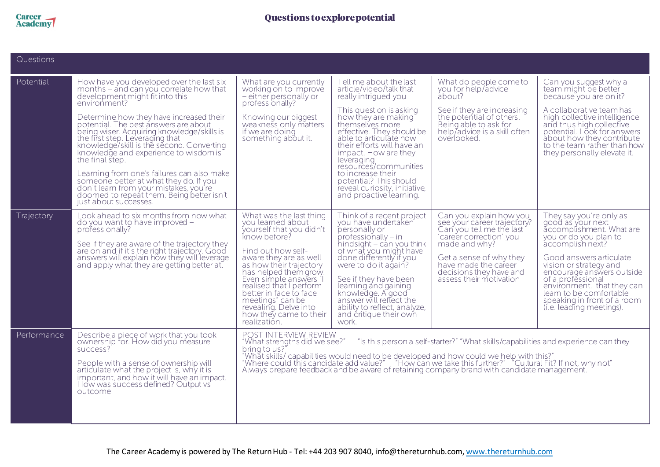

| Questions   |                                                                                                                                                                                                                                                                                                                                                                                                                                                                                                                                                                                                                              |                                                                                                                                                                                                                                                                                                                                                                                                                                                                  |                                                                                                                                                                                                                                                                                                                                                                                                               |                                                                                                                                                                                                                                         |                                                                                                                                                                                                                                                                                                                                                  |  |  |
|-------------|------------------------------------------------------------------------------------------------------------------------------------------------------------------------------------------------------------------------------------------------------------------------------------------------------------------------------------------------------------------------------------------------------------------------------------------------------------------------------------------------------------------------------------------------------------------------------------------------------------------------------|------------------------------------------------------------------------------------------------------------------------------------------------------------------------------------------------------------------------------------------------------------------------------------------------------------------------------------------------------------------------------------------------------------------------------------------------------------------|---------------------------------------------------------------------------------------------------------------------------------------------------------------------------------------------------------------------------------------------------------------------------------------------------------------------------------------------------------------------------------------------------------------|-----------------------------------------------------------------------------------------------------------------------------------------------------------------------------------------------------------------------------------------|--------------------------------------------------------------------------------------------------------------------------------------------------------------------------------------------------------------------------------------------------------------------------------------------------------------------------------------------------|--|--|
| Potential   | How have you developed over the last six<br>months – and can you correlate how that<br>development might fit into this<br>environment?<br>Determine how they have increased their<br>potential. The best answers are about<br>being wiser. Acquiring knowledge/skills is<br>the first step. Leveraging that<br>knowledge/skill is the second. Converting<br>knowledge and experience to wisdom is<br>the final step.<br>Learning from one's failures can also make<br>someone better at what they do. If you<br>don't learn from your mistakes, you're<br>doomed to repeat them. Being better isn't<br>just about successes. | What are you currently<br>working on to improve<br>- either personally or<br>professionally?<br>Knowing our biggest<br>weakness only matters<br>if we are doing<br>something about it.                                                                                                                                                                                                                                                                           | Tell me about the last<br>article/video/talk that<br>really intrigued you<br>This question is asking<br>how they are making<br>themselves more<br>effective. They should be<br>able to articulate how<br>their efforts will have an<br>impact. How are they<br>leveraging<br>resources/communities<br>to increase their<br>potential? This should<br>reveal curiosity, initiative,<br>and proactive learning. | What do people come to<br>you for help/advice<br>about?<br>See if they are increasing<br>the potential of others.<br>Being able to ask for<br>help/advice is a skill often<br>overlooked.                                               | Can you suggest why a<br>team might be better<br>because you are on it?<br>A collaborative team has<br>high collective intelligence<br>and thus high collective<br>potential. Look for answers<br>about how they contribute<br>to the team rather than how<br>they personally elevate it.                                                        |  |  |
| Trajectory  | Look ahead to six months from now what<br>do you want to have improved -<br>professionally?<br>See if they are aware of the trajectory they<br>are on and if it's the right trajectory. Good<br>answers will explain how they will leverage<br>and apply what they are getting better at.                                                                                                                                                                                                                                                                                                                                    | What was the last thing<br>you learned about<br>yourself that you didn't<br>know before?<br>Find out how self-<br>aware they are as well<br>as how their trajectory<br>has helped them grow.<br>Even simple answers "I<br>realised that I perform<br>better in face to face<br>meetings" can be<br>revealing. Delve into<br>how they came to their<br>realization.                                                                                               | Think of a recent project<br>you have undertaken<br>personally or<br>$professionally - in$<br>hindsight $-$ can you think<br>of what you might have<br>done differently if you<br>were to do it again?<br>See if they have been<br>learning and gaining<br>knowledge. A good<br>answer will reflect the<br>ability to reflect, analyze,<br>and critique their own<br>work.                                    | Can you explain how you<br>see your career trajectory?<br>Can you tell me the last<br>'career correction' you<br>made and why?<br>Get a sense of why they<br>have made the career<br>decisions they have and<br>assess their motivation | They say you're only as<br>good as your next<br>accomplishment. What are<br>you or do you plan to<br>accomplish next?<br>Good answers articulate<br>vision or strategy and<br>encourage answers outside<br>of a professional<br>environment. that they can<br>learn to be comfortable<br>speaking in front of a room<br>(i.e. leading meetings). |  |  |
| Performance | Describe a piece of work that you took<br>ownership for. How did you measure<br>success?<br>People with a sense of ownership will<br>articulate what the project is, why it is<br>important, and how it will have an impact.<br>How was success defined? Output vs<br>outcome                                                                                                                                                                                                                                                                                                                                                | POST INTERVIEW REVIEW<br>"What strengths did we see?"<br>"Is this person a self-starter?" "What skills/capabilities and experience can they<br>bring to us?'<br>"What skills/ capabilities would need to be developed and how could we help with this?"<br>"Where could this candidate add value?" "How can we take this further?" "Cultural Fit? If not, why not"<br>Always prepare feedback and be aware of retaining company brand with candidate management. |                                                                                                                                                                                                                                                                                                                                                                                                               |                                                                                                                                                                                                                                         |                                                                                                                                                                                                                                                                                                                                                  |  |  |